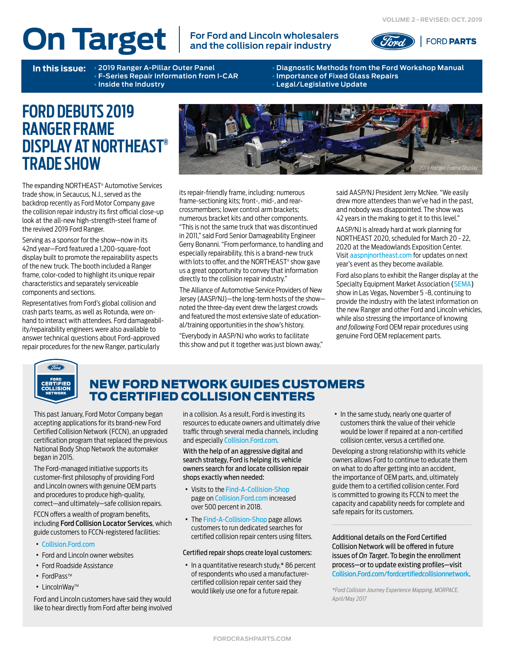# **On Target For Ford and Lincoln wholesalers**

# **and the collision repair industry**



**F-Series Repair Information from I-CAR** • **Inside the Industry** • **Legal/Legislative Update**

**In this issue:** • **2019 Ranger A-Pillar Outer Panel** • **Diagnostic Methods from the Ford Workshop Manual**

# **FORD DEBUTS 2019 RANGER FRAME DISPLAY AT NORTHEAST® TRADE SHOW**

The expanding NORTHEAST® Automotive Services trade show, in Secaucus, N.J., served as the backdrop recently as Ford Motor Company gave the collision repair industry its first official close-up look at the all-new high-strength-steel frame of the revived 2019 Ford Ranger.

Serving as a sponsor for the show—now in its 42nd year—Ford featured a 1,200-square-foot display built to promote the repairability aspects of the new truck. The booth included a Ranger frame, color-coded to highlight its unique repair characteristics and separately serviceable components and sections.

Representatives from Ford's global collision and crash parts teams, as well as Rotunda, were onhand to interact with attendees. Ford damageability/repairability engineers were also available to answer technical questions about Ford-approved repair procedures for the new Ranger, particularly



its repair-friendly frame, including: numerous frame-sectioning kits; front-, mid-, and rearcrossmembers; lower control arm brackets; numerous bracket kits and other components. "This is not the same truck that was discontinued in 2011," said Ford Senior Damageability Engineer Gerry Bonanni. "From performance, to handling and especially repairability, this is a brand-new truck with lots to offer, and the NORTHEAST® show gave us a great opportunity to convey that information directly to the collision repair industry."

The Alliance of Automotive Service Providers of New Jersey (AASP/NJ)—the long-term hosts of the show noted the three-day event drew the largest crowds and featured the most extensive slate of educational/training opportunities in the show's history.

"Everybody in AASP/NJ who works to facilitate this show and put it together was just blown away," said AASP/NJ President Jerry McNee. "We easily drew more attendees than we've had in the past, and nobody was disappointed. The show was 42 years in the making to get it to this level."

AASP/NJ is already hard at work planning for NORTHEAST 2020, scheduled for March 20 - 22, 2020 at the Meadowlands Exposition Center. Visit [aaspnjnortheast.com](http://www.aaspnjnortheast.com) for updates on next year's event as they become available.

Ford also plans to exhibit the Ranger display at the Specialty Equipment Market Association [\(SEMA\)](https://www.semashow.com) show in Las Vegas, November 5 -8, continuing to provide the industry with the latest information on the new Ranger and other Ford and Lincoln vehicles, while also stressing the importance of knowing *and following* Ford OEM repair procedures using genuine Ford OEM replacement parts.



## NEW FORD NETWORK GUIDES CUSTOMERS TO CERTIFIED COLLISION CENTERS

This past January, Ford Motor Company began accepting applications for its brand-new Ford Certified Collision Network (FCCN), an upgraded certification program that replaced the previous National Body Shop Network the automaker began in 2015.

The Ford-managed initiative supports its customer-first philosophy of providing Ford and Lincoln owners with genuine OEM parts and procedures to produce high-quality, correct—and ultimately—safe collision repairs.

FCCN offers a wealth of program benefits, including Ford Collision Locator Services, which guide customers to FCCN-registered facilities:

- · [Collision.Ford.com](https://www.collision.ford.com)
- · Ford and Lincoln owner websites
- · Ford Roadside Assistance
- FordPass™
- · LincolnWayTM

Ford and Lincoln customers have said they would like to hear directly from Ford after being involved

in a collision. As a result, Ford is investing its resources to educate owners and ultimately drive traffic through several media channels, including and especially [Collision.Ford.com](https://www.collision.ford.com).

With the help of an aggressive digital and search strategy, Ford is helping its vehicle owners search for and locate collision repair shops exactly when needed:

- · Visits to the [Find-A-Collision-Shop](https://www.collision.ford.com/find-a-collision-shop) page on [Collision.Ford.com](https://www.collision.ford.com) increased over 500 percent in 2018.
- · The [Find-A-Collision-Shop](https://www.collision.ford.com/find-a-collision-shop) page allows customers to run dedicated searches for certified collision repair centers using filters.

#### Certified repair shops create loyal customers:

· In a quantitative research study,\* 86 percent of respondents who used a manufacturercertified collision repair center said they would likely use one for a future repair.

· In the same study, nearly one quarter of customers think the value of their vehicle would be lower if repaired at a non-certified collision center, versus a certified one.

Developing a strong relationship with its vehicle owners allows Ford to continue to educate them on what to do after getting into an accident, the importance of OEM parts, and, ultimately guide them to a certified collision center. Ford is committed to growing its FCCN to meet the capacity and capability needs for complete and safe repairs for its customers.

Additional details on the Ford Certified Collision Network will be offered in future issues of *On Target*. To begin the enrollment process—or to update existing profiles—visit [Collision.Ford.com/fordcertifiedcollisionnetwork](https://collision.ford.com/fordcertifiedcollisionnetwork).

*\*Ford Collision Journey Experience Mapping, MORPACE, April/May 2017*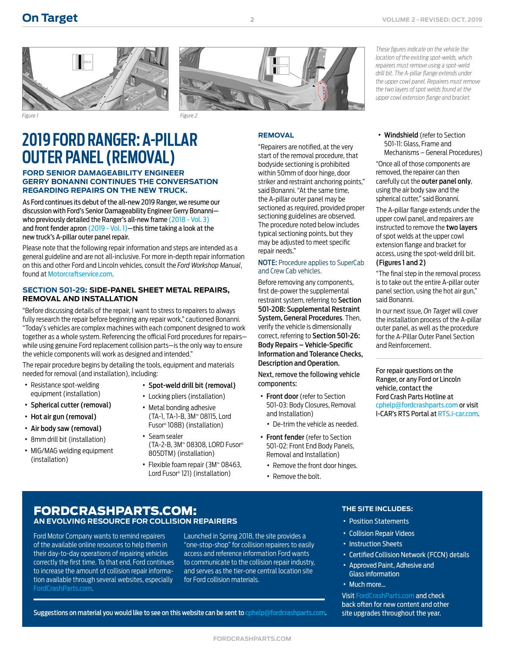



**2**

*Figure 1 Figure 2*

# **2019 FORD RANGER: A-PILLAR OUTER PANEL (REMOVAL)**

#### **FORD SENIOR DAMAGEABILITY ENGINEER GERRY BONANNI CONTINUES THE CONVERSATION REGARDING REPAIRS ON THE NEW TRUCK.**

As Ford continues its debut of the all-new 2019 Ranger, we resume our discussion with Ford's Senior Damageability Engineer Gerry Bonanni who previously detailed the Ranger's all-new frame [\(2018 - Vol. 3\)](https://www.oem1stop.com/sites/default/files/On%20Target%20-%202018%2C%20Vol.%203.pdf) and front fender apron [\(2019 - Vol. 1\)—](https://www.fordcrashparts.com/sites/default/files/On%20Target%20(2019%20-%20Vol.%201)%20FINAL.pdf)this time taking a look at the new truck's A-pillar outer panel repair.

Please note that the following repair information and steps are intended as a general guideline and are not all-inclusive. For more in-depth repair information on this and other Ford and Lincoln vehicles, consult the *Ford Workshop Manual*, found at [Motorcraftservice.com](https://www.motorcraftservice.com).

#### **SECTION 501-29: SIDE-PANEL SHEET METAL REPAIRS, REMOVAL AND INSTALLATION**

"Before discussing details of the repair, I want to stress to repairers to always fully research the repair before beginning any repair work," cautioned Bonanni. "Today's vehicles are complex machines with each component designed to work together as a whole system. Referencing the official Ford procedures for repairs while using genuine Ford replacement collision parts—is the only way to ensure the vehicle components will work as designed and intended."

The repair procedure begins by detailing the tools, equipment and materials needed for removal (and installation), including:

- · Resistance spot-welding equipment (installation)
- · Spherical cutter (removal)
- · Hot air gun (removal)
- · Air body saw (removal)
- · 8mm drill bit (installation)
- · MIG/MAG welding equipment (installation)
- · Spot-weld drill bit (removal) · Locking pliers (installation)
- · Metal bonding adhesive (TA-1, TA-1-B, 3M™ 08115, Lord Fusor® 108B) (installation)
- · Seam sealer (TA-2-B, 3M™ 08308, LORD Fusor® 805DTM) (installation)
- · Flexible foam repair (3M™ 08463, Lord Fusor® 121) (installation)

#### **REMOVAL**

"Repairers are notified, at the very start of the removal procedure, that bodyside sectioning is prohibited within 50mm of door hinge, door striker and restraint anchoring points," said Bonanni. "At the same time, the A-pillar outer panel may be sectioned as required, provided proper sectioning guidelines are observed. The procedure noted below includes typical sectioning points, but they may be adjusted to meet specific repair needs."

#### NOTE: Procedure applies to SuperCab and Crew Cab vehicles.

Before removing any components, first de-power the supplemental restraint system, referring to Section 501-20B: Supplemental Restraint System, General Procedures. Then, verify the vehicle is dimensionally correct, referring to Section 501-26: Body Repairs – Vehicle-Specific Information and Tolerance Checks, Description and Operation.

Next, remove the following vehicle components:

- · Front door (refer to Section 501-03: Body Closures, Removal and Installation)
	- · De-trim the vehicle as needed.
- · Front fender (refer to Section 501-02: Front End Body Panels, Removal and Installation)
	- · Remove the front door hinges.
	- · Remove the bolt.

*These figures indicate on the vehicle the location of the existing spot-welds, which repairers must remove using a spot-weld drill bit. The A-pillar flange extends under the upper cowl panel. Repairers must remove the two layers of spot welds found at the upper cowl extension flange and bracket.*

· Windshield (refer to Section 501-11: Glass, Frame and Mechanisms – General Procedures)

"Once all of those components are removed, the repairer can then carefully cut the outer panel only, using the air body saw and the spherical cutter," said Bonanni.

The A-pillar flange extends under the upper cowl panel, and repairers are instructed to remove the two layers of spot welds at the upper cowl extension flange and bracket for access, using the spot-weld drill bit.

#### (Figures 1 and 2)

"The final step in the removal process is to take out the entire A-pillar outer panel section, using the hot air gun," said Bonanni.

In our next issue, *On Target* will cover the installation process of the A-pillar outer panel, as well as the procedure for the A-Pillar Outer Panel Section and Reinforcement.

For repair questions on the Ranger, or any Ford or Lincoln vehicle, contact the Ford Crash Parts Hotline at [cphelp@fordcrashparts.com](mailto:cphelp%40fordcrashparts.com?subject=Ford/Lincoln%20Repair%20Question) or visit I-CAR's RTS Portal at RTS[.i-car.com.](https://rts.i-car.com)

### FORDCRASHPARTS.COM: **AN EVOLVING RESOURCE FOR COLLISION REPAIRERS**

Ford Motor Company wants to remind repairers of the available online resources to help them in their day-to-day operations of repairing vehicles correctly the first time. To that end, Ford continues to increase the amount of collision repair information available through several websites, especially [FordCrashParts.com](http://FordCrashParts.com).

Launched in Spring 2018, the site provides a "one-stop-shop" for collision repairers to easily access and reference information Ford wants to communicate to the collision repair industry, and serves as the tier-one central location site for Ford collision materials.

Suggestions on material you would like to see on this website can be sent to [cphelp@fordcrashparts.com](mailto:cphelp%40fordcrashparts.com?subject=Ford/Lincoln%20Repair%20Question).

#### **THE SITE INCLUDES:**

- · Position Statements
- · Collision Repair Videos
- · Instruction Sheets
- · Certified Collision Network (FCCN) details
- · Approved Paint, Adhesive and Glass information

#### · Much more…

Visit [FordCrashParts.com](http://FordCrashParts.com) and check back often for new content and other site upgrades throughout the year.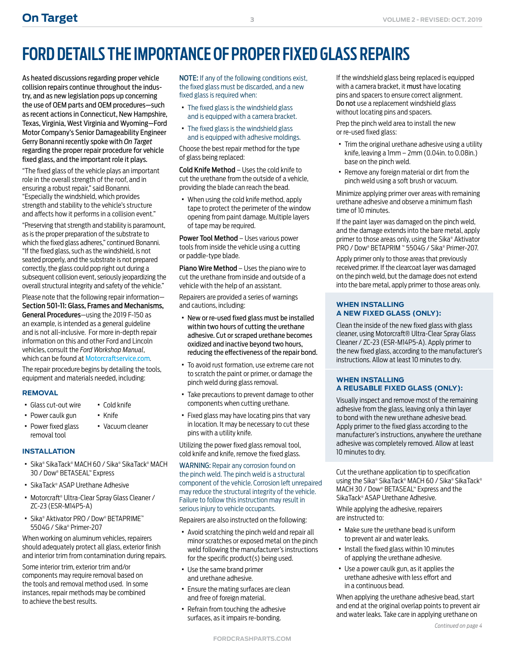# **FORD DETAILS THE IMPORTANCE OF PROPER FIXED GLASS REPAIRS**

As heated discussions regarding proper vehicle collision repairs continue throughout the industry, and as new legislation pops up concerning the use of OEM parts and OEM procedures—such as recent actions in Connecticut, New Hampshire, Texas, Virginia, West Virginia and Wyoming—Ford Motor Company's Senior Damageability Engineer Gerry Bonanni recently spoke with *On Target* regarding the proper repair procedure for vehicle fixed glass, and the important role it plays.

"The fixed glass of the vehicle plays an important role in the overall strength of the roof, and in ensuring a robust repair," said Bonanni. "Especially the windshield, which provides strength and stability to the vehicle's structure and affects how it performs in a collision event."

"Preserving that strength and stability is paramount, as is the proper preparation of the substrate to which the fixed glass adheres," continued Bonanni. "If the fixed glass, such as the windshield, is not seated properly, and the substrate is not prepared correctly, the glass could pop right out during a subsequent collision event, seriously jeopardizing the overall structural integrity and safety of the vehicle."

Please note that the following repair information— Section 501-11: Glass, Frames and Mechanisms, General Procedures—using the 2019 F-150 as an example, is intended as a general guideline and is not all-inclusive. For more in-depth repair information on this and other Ford and Lincoln vehicles, consult the *Ford Workshop Manual*, which can be found at [Motorcraftservice.com](http://MotorcraftService.com).

The repair procedure begins by detailing the tools, equipment and materials needed, including:

#### **REMOVAL**

- · Glass cut-out wire · Cold knife
- · Power caulk gun
- · Power fixed glass removal tool

#### **INSTALLATION**

■ Sika® SikaTack® MACH 60 / Sika® SikaTack® MACH 30 / Dow® BETASEAL™ Express

· Knife

· Vacuum cleaner

- · SikaTack® ASAP Urethane Adhesive
- · Motorcraft® Ultra-Clear Spray Glass Cleaner / ZC-23 (ESR-M14P5-A)
- · Sika® Aktivator PRO / Dow® BETAPRIME™ 5504G / Sika® Primer-207

When working on aluminum vehicles, repairers should adequately protect all glass, exterior finish and interior trim from contamination during repairs.

Some interior trim, exterior trim and/or components may require removal based on the tools and removal method used. In some instances, repair methods may be combined to achieve the best results.

NOTE: If any of the following conditions exist, the fixed glass must be discarded, and a new fixed glass is required when:

- · The fixed glass is the windshield glass and is equipped with a camera bracket.
- · The fixed glass is the windshield glass and is equipped with adhesive moldings.

Choose the best repair method for the type of glass being replaced:

Cold Knife Method – Uses the cold knife to cut the urethane from the outside of a vehicle, providing the blade can reach the bead.

· When using the cold knife method, apply tape to protect the perimeter of the window opening from paint damage. Multiple layers of tape may be required.

Power Tool Method - Uses various power tools from inside the vehicle using a cutting or paddle-type blade.

Piano Wire Method – Uses the piano wire to cut the urethane from inside and outside of a vehicle with the help of an assistant.

Repairers are provided a series of warnings and cautions, including:

- · New or re-used fixed glass must be installed within two hours of cutting the urethane adhesive. Cut or scraped urethane becomes oxidized and inactive beyond two hours, reducing the effectiveness of the repair bond.
- · To avoid rust formation, use extreme care not to scratch the paint or primer, or damage the pinch weld during glass removal.
- · Take precautions to prevent damage to other components when cutting urethane.
- · Fixed glass may have locating pins that vary in location. It may be necessary to cut these pins with a utility knife.

Utilizing the power fixed glass removal tool, cold knife and knife, remove the fixed glass.

WARNING: Repair any corrosion found on the pinch weld. The pinch weld is a structural component of the vehicle. Corrosion left unrepaired may reduce the structural integrity of the vehicle. Failure to follow this instruction may result in serious injury to vehicle occupants.

Repairers are also instructed on the following:

- · Avoid scratching the pinch weld and repair all minor scratches or exposed metal on the pinch weld following the manufacturer's instructions for the specific product(s) being used.
- · Use the same brand primer and urethane adhesive.
- · Ensure the mating surfaces are clean and free of foreign material.
- · Refrain from touching the adhesive surfaces, as it impairs re-bonding.

If the windshield glass being replaced is equipped with a camera bracket, it must have locating pins and spacers to ensure correct alignment. Do not use a replacement windshield glass without locating pins and spacers.

Prep the pinch weld area to install the new or re-used fixed glass:

- · Trim the original urethane adhesive using a utility knife, leaving a 1mm – 2mm (0.04in. to 0.08in.) base on the pinch weld.
- · Remove any foreign material or dirt from the pinch weld using a soft brush or vacuum.

Minimize applying primer over areas with remaining urethane adhesive and observe a minimum flash time of 10 minutes.

If the paint layer was damaged on the pinch weld, and the damage extends into the bare metal, apply primer to those areas only, using the Sika® Aktivator PRO / Dow® BETAPRIM ™ 5504G / Sika® Primer-207.

Apply primer only to those areas that previously received primer. If the clearcoat layer was damaged on the pinch weld, but the damage does not extend into the bare metal, apply primer to those areas only.

#### **WHEN INSTALLING A NEW FIXED GLASS (ONLY):**

Clean the inside of the new fixed glass with glass cleaner, using Motorcraft® Ultra-Clear Spray Glass Cleaner / ZC-23 (ESR-M14P5-A). Apply primer to the new fixed glass, according to the manufacturer's instructions. Allow at least 10 minutes to dry.

#### **WHEN INSTALLING A REUSABLE FIXED GLASS (ONLY):**

Visually inspect and remove most of the remaining adhesive from the glass, leaving only a thin layer to bond with the new urethane adhesive bead. Apply primer to the fixed glass according to the manufacturer's instructions, anywhere the urethane adhesive was completely removed. Allow at least 10 minutes to dry.

Cut the urethane application tip to specification using the Sika® SikaTack® MACH 60 / Sika® SikaTack® MACH 30 / Dow® BETASEAL™ Express and the SikaTack® ASAP Urethane Adhesive.

While applying the adhesive, repairers are instructed to:

- · Make sure the urethane bead is uniform to prevent air and water leaks.
- · Install the fixed glass within 10 minutes of applying the urethane adhesive.
- · Use a power caulk gun, as it applies the urethane adhesive with less effort and in a continuous bead.

When applying the urethane adhesive bead, start and end at the original overlap points to prevent air and water leaks. Take care in applying urethane on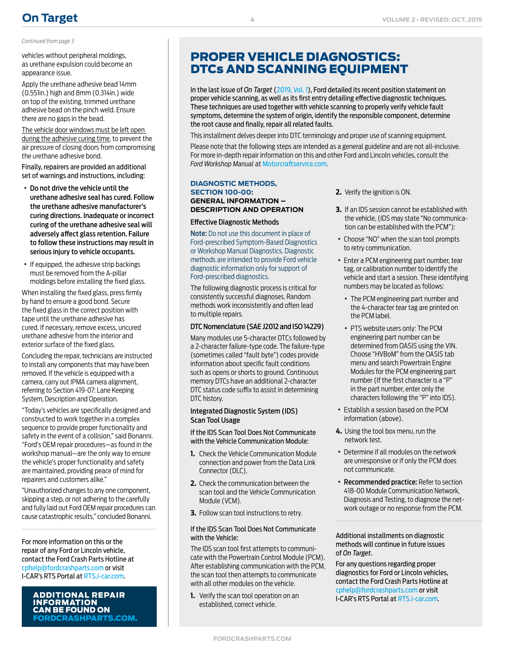# **[On Target](https://fordcrashparts.com/)**

#### *Continued from page 3*

vehicles without peripheral moldings, as urethane expulsion could become an appearance issue.

Apply the urethane adhesive bead 14mm (0.551in.) high and 8mm (0.314in.) wide on top of the existing, trimmed urethane adhesive bead on the pinch weld. Ensure there are no gaps in the bead.

The vehicle door windows must be left open during the adhesive curing time, to prevent the air pressure of closing doors from compromising the urethane adhesive bond.

Finally, repairers are provided an additional set of warnings and instructions, including:

- · Do not drive the vehicle until the urethane adhesive seal has cured. Follow the urethane adhesive manufacturer's curing directions. Inadequate or incorrect curing of the urethane adhesive seal will adversely affect glass retention. Failure to follow these instructions may result in serious injury to vehicle occupants.
- · If equipped, the adhesive strip backings must be removed from the A-pillar moldings before installing the fixed glass.

When installing the fixed glass, press firmly by hand to ensure a good bond. Secure the fixed glass in the correct position with tape until the urethane adhesive has cured. If necessary, remove excess, uncured urethane adhesive from the interior and exterior surface of the fixed glass.

Concluding the repair, technicians are instructed to install any components that may have been removed. If the vehicle is equipped with a camera, carry out IPMA camera alignment, referring to Section 419-07: Lane Keeping System, Description and Operation.

"Today's vehicles are specifically designed and constructed to work together in a complex sequence to provide proper functionality and safety in the event of a collision," said Bonanni. "Ford's OEM repair procedures—as found in the workshop manual—are the only way to ensure the vehicle's proper functionality and safety are maintained, providing peace of mind for repairers and customers alike."

"Unauthorized changes to any one component, skipping a step, or not adhering to the carefully and fully laid out Ford OEM repair procedures can cause catastrophic results," concluded Bonanni.

For more information on this or the repair of any Ford or Lincoln vehicle, contact the Ford Crash Parts Hotline at [cphelp@fordcrashparts.com](mailto:cphelp%40fordcrashparts.com?subject=Ford/Lincoln%20Repair%20Question) or visit I-CAR's RTS Portal at RT[S.i-car.com](https://rts.i-car.com).

### INFORMATION CAN BE FOUND ON [FORDCRASHPARTS.COM.](http://FordCrashParts.com)

## PROPER VEHICLE DIAGNOSTICS: DTCs AND SCANNING EQUIPMENT

In the last issue of *On Target* (2019, Vol. 1), Ford detailed its recent position statement on proper vehicle scanning, as well as its first entry detailing effective diagnostic techniques. These techniques are used together with vehicle scanning to properly verify vehicle fault symptoms, determine the system of origin, identify the responsible component, determine the root cause and finally, repair all related faults.

This installment delves deeper into DTC terminology and proper use of scanning equipment.

Please note that the following steps are intended as a general guideline and are not all-inclusive. For more in-depth repair information on this and other Ford and Lincoln vehicles, consult the *Ford Workshop Manual* at [Motorcraftservice.com](https://www.motorcraftservice.com/Home/SetCountry?returnUrl=https%3A%2F%2Fwww.motorcraftservice.com%3A1402%2F).

#### **DIAGNOSTIC METHODS, SECTION 100-00: GENERAL INFORMATION – DESCRIPTION AND OPERATION**

#### Effective Diagnostic Methods

Note: Do not use this document in place of Ford-prescribed Symptom-Based Diagnostics or Workshop Manual Diagnostics. Diagnostic methods are intended to provide Ford vehicle diagnostic information only for support of Ford-prescribed diagnostics.

The following diagnostic process is critical for consistently successful diagnoses. Random methods work inconsistently and often lead to multiple repairs.

#### DTC Nomenclature (SAE J2012 and ISO 14229)

Many modules use 5-character DTCs followed by a 2-character failure-type code. The failure-type (sometimes called "fault byte") codes provide information about specific fault conditions such as opens or shorts to ground. Continuous memory DTCs have an additional 2-character DTC status code suffix to assist in determining DTC history.

#### Integrated Diagnostic System (IDS) Scan Tool Usage

If the IDS Scan Tool Does Not Communicate with the Vehicle Communication Module:

- **1.** Check the Vehicle Communication Module connection and power from the Data Link Connector (DLC).
- **2.** Check the communication between the scan tool and the Vehicle Communication Module (VCM).
- **3.** Follow scan tool instructions to retry.

#### If the IDS Scan Tool Does Not Communicate with the Vehicle:

The IDS scan tool first attempts to communicate with the Powertrain Control Module (PCM). After establishing communication with the PCM, the scan tool then attempts to communicate with all other modules on the vehicle.

**1.** Verify the scan tool operation on an established, correct vehicle.

- **2.** Verify the ignition is ON.
- **3.** If an IDS session cannot be established with the vehicle, (IDS may state "No communication can be established with the PCM"):
- · Choose "NO" when the scan tool prompts to retry communication.
- · Enter a PCM engineering part number, tear tag, or calibration number to identify the vehicle and start a session. These identifying numbers may be located as follows:
	- · The PCM engineering part number and the 4-character tear tag are printed on the PCM label.
- · PTS website users only: The PCM engineering part number can be determined from OASIS using the VIN. Choose "HVBoM" from the OASIS tab menu and search Powertrain Engine Modules for the PCM engineering part number (If the first character is a "P" in the part number, enter only the characters following the "P" into IDS).
- · Establish a session based on the PCM information (above).
- **4.** Using the tool box menu, run the network test.
- · Determine if all modules on the network are unresponsive or if only the PCM does not communicate.
- · Recommended practice: Refer to section 418-00 Module Communication Network, Diagnosis and Testing, to diagnose the network outage or no response from the PCM.

Additional installments on diagnostic methods will continue in future issues of *On Target*.

For any questions regarding proper diagnostics for Ford or Lincoln vehicles, contact the Ford Crash Parts Hotline at [cphelp@fordcrashparts.com](mailto:cphelp%40fordcrashparts.com?subject=Ford/Lincoln%20Repair%20Question) or visit **ADDITIONAL REPAIR**<br>ADDITIONAL REPAIR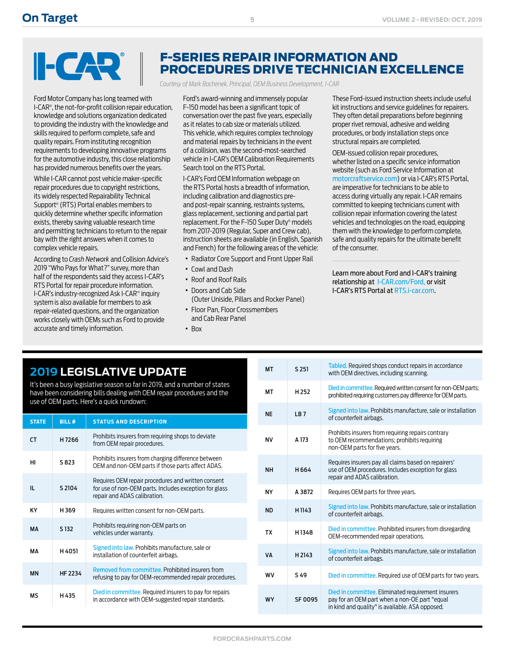# $\blacksquare$

Ford Motor Company has long teamed with I-CAR® , the not-for-profit collision repair education, knowledge and solutions organization dedicated to providing the industry with the knowledge and skills required to perform complete, safe and quality repairs. From instituting recognition requirements to developing innovative programs for the automotive industry, this close relationship has provided numerous benefits over the years.

While I-CAR cannot post vehicle maker-specific repair procedures due to copyright restrictions, its widely respected Repairability Technical Support® (RTS) Portal enables members to quickly determine whether specific information exists, thereby saving valuable research time and permitting technicians to return to the repair bay with the right answers when it comes to complex vehicle repairs.

According to *Crash Network* and Collision Advice's 2019 "Who Pays for What?" survey, more than half of the respondents said they access I-CAR's RTS Portal for repair procedure information. I-CAR's industry-recognized Ask I-CAR™ inquiry system is also available for members to ask repair-related questions, and the organization works closely with OEMs such as Ford to provide accurate and timely information.

## F-SERIES REPAIR INFORMATION AND PROCEDURES DRIVE TECHNICIAN EXCELLENCE

*Courtesy of Mark Bochenek, Principal, OEM Business Development, I-CAR*

Ford's award-winning and immensely popular F-150 model has been a significant topic of conversation over the past five years, especially as it relates to cab size or materials utilized. This vehicle, which requires complex technology and material repairs by technicians in the event of a collision, was the second-most-searched vehicle in I-CAR's OEM Calibration Requirements Search tool on the RTS Portal.

I-CAR's Ford OEM Information webpage on the RTS Portal hosts a breadth of information, including calibration and diagnostics preand post-repair scanning, restraints systems, glass replacement, sectioning and partial part replacement. For the F-150 Super Duty® models from 2017-2019 (Regular, Super and Crew cab), instruction sheets are available (in English, Spanish and French) for the following areas of the vehicle:

- · Radiator Core Support and Front Upper Rail
- · Cowl and Dash
- · Roof and Roof Rails
- · Doors and Cab Side
- (Outer Uniside, Pillars and Rocker Panel) · Floor Pan, Floor Crossmembers
	- and Cab Rear Panel
- · Box

These Ford-issued instruction sheets include useful kit instructions and service guidelines for repairers. They often detail preparations before beginning proper rivet removal, adhesive and welding procedures, or body installation steps once structural repairs are completed.

OEM-issued collision repair procedures, whether listed on a specific service information website (such as Ford Service Information at [motorcraftservice.com](http://motorcraftservice.com)) or via I-CAR's RTS Portal, are imperative for technicians to be able to access during virtually any repair. I-CAR remains committed to keeping technicians current with collision repair information covering the latest vehicles and technologies on the road, equipping them with the knowledge to perform complete, safe and quality repairs for the ultimate benefit of the consumer.

Learn more about Ford and I-CAR's training relationship at [I-CAR.com/Ford,](http://I-CAR.com/Ford) or visit I-CAR's RTS Portal at RTS[.i-car.com.](https://rts.i-car.com)

## **2019 LEGISLATIVE UPDATE**

It's been a busy legislative season so far in 2019, and a number of states have been considering bills dealing with OEM repair procedures and the use of OEM parts. Here's a quick rundown:

| <b>STATE</b> | <b>BILL#</b>     | <b>STATUS AND DESCRIPTION</b>                                                                                                                |
|--------------|------------------|----------------------------------------------------------------------------------------------------------------------------------------------|
| <b>CT</b>    | H7266            | Prohibits insurers from requiring shops to deviate<br>from OEM repair procedures.                                                            |
| HI           | S 823            | Prohibits insurers from charging difference between<br>OEM and non-OEM parts if those parts affect ADAS.                                     |
| Ш.           | S 2104           | Requires OEM repair procedures and written consent<br>for use of non-OEM parts. Includes exception for glass<br>repair and ADAS calibration. |
| <b>KY</b>    | H369             | Requires written consent for non-OEM parts.                                                                                                  |
| MA           | S <sub>132</sub> | Prohibits requiring non-OEM parts on<br>vehicles under warranty.                                                                             |
| MА           | H4051            | Signed into law. Prohibits manufacture, sale or<br>installation of counterfeit airbags.                                                      |
| <b>MN</b>    | HF 2234          | Removed from committee. Prohibited insurers from<br>refusing to pay for OEM-recommended repair procedures.                                   |
| MS           | H435             | Died in committee. Required insurers to pay for repairs<br>in accordance with OEM-suggested repair standards.                                |

| <b>MT</b> | S 251            | Tabled. Required shops conduct repairs in accordance<br>with OEM directives, including scanning.                                                       |
|-----------|------------------|--------------------------------------------------------------------------------------------------------------------------------------------------------|
| MT        | H <sub>252</sub> | Died in committee. Required written consent for non-OEM parts;<br>prohibited requiring customers pay difference for OEM parts.                         |
| <b>NE</b> | <b>IB7</b>       | Signed into law. Prohibits manufacture, sale or installation<br>of counterfeit airbags.                                                                |
| NV        | A 173            | Prohibits insurers from requiring repairs contrary<br>to OEM recommendations; prohibits requiring<br>non-OEM parts for five years.                     |
| <b>NH</b> | H 664            | Requires insurers pay all claims based on repairers'<br>use of OEM procedures. Includes exception for glass<br>repair and ADAS calibration.            |
| <b>NY</b> | A 3872           | Requires OEM parts for three years.                                                                                                                    |
| <b>ND</b> | H1143            | Signed into law. Prohibits manufacture, sale or installation<br>of counterfeit airbags.                                                                |
| <b>TX</b> | H1348            | Died in committee. Prohibited insurers from disregarding<br>OEM-recommended repair operations.                                                         |
| VA        | H 2143           | Signed into law. Prohibits manufacture, sale or installation<br>of counterfeit airbags.                                                                |
| WV        | S 49             | Died in committee. Required use of OEM parts for two years.                                                                                            |
| <b>WY</b> | <b>SF 0095</b>   | Died in committee. Eliminated requirement insurers<br>pay for an OEM part when a non-OE part "equal<br>in kind and quality" is available. ASA opposed. |